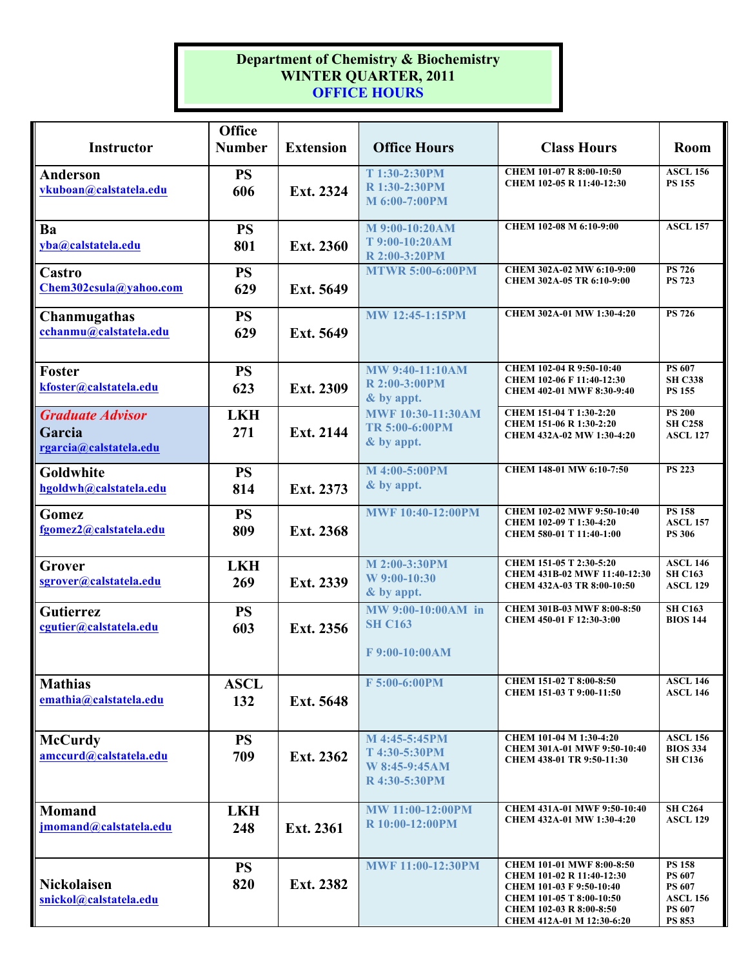## **Department of Chemistry & Biochemistry WINTER QUARTER, 2011 OFFICE HOURS**

| Instructor                                                  | Office<br><b>Number</b> | <b>Extension</b> | <b>Office Hours</b>                                              | <b>Class Hours</b>                                                                                                                                                            | Room                                                                                   |
|-------------------------------------------------------------|-------------------------|------------------|------------------------------------------------------------------|-------------------------------------------------------------------------------------------------------------------------------------------------------------------------------|----------------------------------------------------------------------------------------|
| Anderson<br>vkuboan@calstatela.edu                          | <b>PS</b><br>606        | Ext. 2324        | T 1:30-2:30PM<br>R 1:30-2:30PM<br>M 6:00-7:00PM                  | CHEM 101-07 R 8:00-10:50<br>CHEM 102-05 R 11:40-12:30                                                                                                                         | <b>ASCL 156</b><br><b>PS 155</b>                                                       |
| Ba<br>yba@calstatela.edu                                    | <b>PS</b><br>801        | Ext. 2360        | M 9:00-10:20AM<br>T 9:00-10:20AM<br>R 2:00-3:20PM                | CHEM 102-08 M 6:10-9:00                                                                                                                                                       | <b>ASCL 157</b>                                                                        |
| <b>Castro</b><br>Chem302csula@yahoo.com                     | <b>PS</b><br>629        | Ext. 5649        | <b>MTWR 5:00-6:00PM</b>                                          | CHEM 302A-02 MW 6:10-9:00<br>CHEM 302A-05 TR 6:10-9:00                                                                                                                        | <b>PS 726</b><br><b>PS 723</b>                                                         |
| Chanmugathas<br>cchanmu@calstatela.edu                      | <b>PS</b><br>629        | Ext. 5649        | <b>MW 12:45-1:15PM</b>                                           | CHEM 302A-01 MW 1:30-4:20                                                                                                                                                     | <b>PS 726</b>                                                                          |
| Foster<br>kfoster@calstatela.edu                            | <b>PS</b><br>623        | Ext. 2309        | <b>MW 9:40-11:10AM</b><br>R 2:00-3:00PM<br>& by appt.            | CHEM 102-04 R 9:50-10:40<br>CHEM 102-06 F 11:40-12:30<br>CHEM 402-01 MWF 8:30-9:40                                                                                            | PS 607<br><b>SH C338</b><br><b>PS 155</b>                                              |
| <b>Graduate Advisor</b><br>Garcia<br>rgarcia@calstatela.edu | <b>LKH</b><br>271       | Ext. 2144        | <b>MWF 10:30-11:30AM</b><br>TR 5:00-6:00PM<br>& by appt.         | CHEM 151-04 T 1:30-2:20<br>CHEM 151-06 R 1:30-2:20<br>CHEM 432A-02 MW 1:30-4:20                                                                                               | <b>PS 200</b><br><b>SH C258</b><br><b>ASCL 127</b>                                     |
| Goldwhite<br>hgoldwh@calstatela.edu                         | <b>PS</b><br>814        | Ext. 2373        | M 4:00-5:00PM<br>& by appt.                                      | CHEM 148-01 MW 6:10-7:50                                                                                                                                                      | <b>PS 223</b>                                                                          |
| Gomez<br>fgomez2@calstatela.edu                             | <b>PS</b><br>809        | Ext. 2368        | <b>MWF 10:40-12:00PM</b>                                         | CHEM 102-02 MWF 9:50-10:40<br>CHEM 102-09 T 1:30-4:20<br>CHEM 580-01 T 11:40-1:00                                                                                             | <b>PS 158</b><br><b>ASCL 157</b><br><b>PS 306</b>                                      |
| Grover<br>sgrover@calstatela.edu                            | <b>LKH</b><br>269       | Ext. 2339        | M 2:00-3:30PM<br>W 9:00-10:30<br>& by appt.                      | CHEM 151-05 T 2:30-5:20<br>CHEM 431B-02 MWF 11:40-12:30<br>CHEM 432A-03 TR 8:00-10:50                                                                                         | <b>ASCL 146</b><br><b>SH C163</b><br><b>ASCL 129</b>                                   |
| <b>Gutierrez</b><br>cgutier@calstatela.edu                  | <b>PS</b><br>603        | Ext. 2356        | MW 9:00-10:00AM in<br><b>SH C163</b><br>F 9:00-10:00AM           | CHEM 301B-03 MWF 8:00-8:50<br>CHEM 450-01 F 12:30-3:00                                                                                                                        | <b>SH C163</b><br><b>BIOS 144</b>                                                      |
| <b>Mathias</b><br>emathia@calstatela.edu                    | <b>ASCL</b><br>132      | Ext. 5648        | F 5:00-6:00PM                                                    | CHEM 151-02 T 8:00-8:50<br>CHEM 151-03 T 9:00-11:50                                                                                                                           | <b>ASCL 146</b><br><b>ASCL 146</b>                                                     |
| <b>McCurdy</b><br>amccurd@calstatela.edu                    | <b>PS</b><br>709        | Ext. 2362        | M 4:45-5:45PM<br>T 4:30-5:30PM<br>W 8:45-9:45AM<br>R 4:30-5:30PM | CHEM 101-04 M 1:30-4:20<br>CHEM 301A-01 MWF 9:50-10:40<br>CHEM 438-01 TR 9:50-11:30                                                                                           | <b>ASCL 156</b><br><b>BIOS 334</b><br><b>SH C136</b>                                   |
| <b>Momand</b><br>jmomand@calstatela.edu                     | <b>LKH</b><br>248       | Ext. 2361        | <b>MW 11:00-12:00PM</b><br>R 10:00-12:00PM                       | CHEM 431A-01 MWF 9:50-10:40<br>CHEM 432A-01 MW 1:30-4:20                                                                                                                      | <b>SH C264</b><br><b>ASCL 129</b>                                                      |
| <b>Nickolaisen</b><br>snickol@calstatela.edu                | <b>PS</b><br>820        | Ext. 2382        | <b>MWF 11:00-12:30PM</b>                                         | <b>CHEM 101-01 MWF 8:00-8:50</b><br>CHEM 101-02 R 11:40-12:30<br>CHEM 101-03 F 9:50-10:40<br>CHEM 101-05 T 8:00-10:50<br>CHEM 102-03 R 8:00-8:50<br>CHEM 412A-01 M 12:30-6:20 | <b>PS 158</b><br><b>PS 607</b><br><b>PS 607</b><br><b>ASCL 156</b><br>PS 607<br>PS 853 |